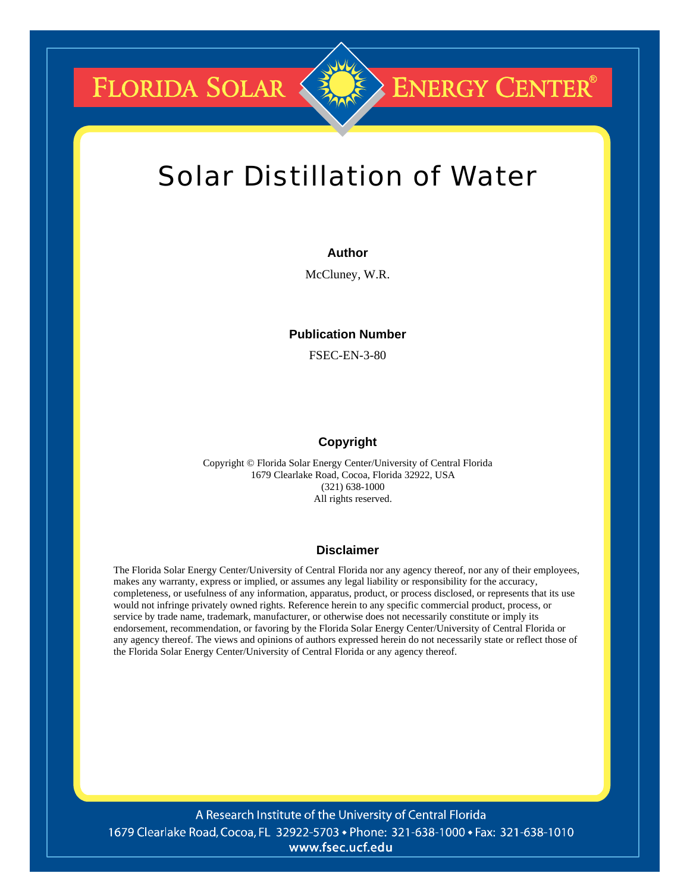**FLORIDA SOLAR &** 

# Solar Distillation of Water

**ENERGY CENTER®** 

#### **Author**

McCluney, W.R.

# **Publication Number**

FSEC-EN-3-80

### **Copyright**

Copyright © Florida Solar Energy Center/University of Central Florida 1679 Clearlake Road, Cocoa, Florida 32922, USA (321) 638-1000 All rights reserved.

#### **Disclaimer**

The Florida Solar Energy Center/University of Central Florida nor any agency thereof, nor any of their employees, makes any warranty, express or implied, or assumes any legal liability or responsibility for the accuracy, completeness, or usefulness of any information, apparatus, product, or process disclosed, or represents that its use would not infringe privately owned rights. Reference herein to any specific commercial product, process, or service by trade name, trademark, manufacturer, or otherwise does not necessarily constitute or imply its endorsement, recommendation, or favoring by the Florida Solar Energy Center/University of Central Florida or any agency thereof. The views and opinions of authors expressed herein do not necessarily state or reflect those of the Florida Solar Energy Center/University of Central Florida or any agency thereof.

A Research Institute of the University of Central Florida 1679 Clearlake Road, Cocoa, FL 32922-5703 • Phone: 321-638-1000 • Fax: 321-638-1010 www.fsec.ucf.edu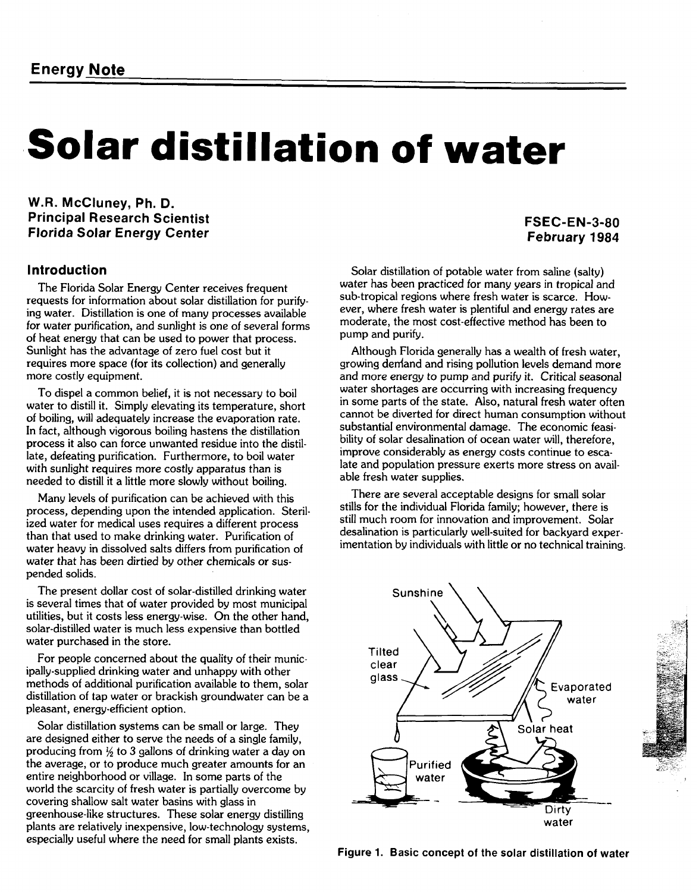# **Solar distillation of water**

**W.R. McCluney, Ph. D. Principal Research Scientist Florida Solar Energy Center** 

# **FSEC-EN-3-80 February 1984**

# **Introduction**

The Florida Solar Energy Center receives frequent requests for information about solar distillation for purifying water. Distillation is one of many processes available for water purification, and sunlight **is** one of several forms of heat energy that can be used to power that process. Sunlight has the advantage of zero fuel cost but it requires more space (for its collection) and generally more costly equipment.

To dispel a common belief, it is not necessary to boil water to distill it. Simply elevating its temperature, short of boiling, will adequately increase the evaporation rate. In fact, although vigorous boiling hastens the distillation process it also can force unwanted residue into the distillate, defeating purification. Furthermore, to boil water with sunlight requires more costly apparatus than is needed to distill it a little more slowly without boiling.

Many levels of purification can be achieved with this process, depending upon the intended application. Sterilized water for medical uses requires a different process than that used to make drinking water. Purification of water heavy in dissolved salts differs from purification of water that has been dirtied by other chemicals or suspended solids.

The present dollar cost of solar-distilled drinking water is several times that of water provided by most municipal utilities, but it costs less energy-wise. On the other hand, solar-distilled water is much less expensive than bottled water purchased in the store.

For people concerned about the quality of their municipally-supplied drinking water and unhappy with other methods of additional purification available to them, solar distillation of tap water or brackish groundwater can be a pleasant, energy-efficient option.

Solar distillation systems can be small or large. They are designed either to serve the needs of a single family, producing from  $\frac{1}{2}$  to 3 gallons of drinking water a day on the average, or to produce much greater amounts for an entire neighborhood or village. In some parts of the world the scarcity of fresh water is partially overcome by covering shallow salt water basins with glass in greenhouse-like structures. These solar energy distilling plants are relatively inexpensive, low-technology systems, especially useful where the need for small plants exists.

Solar distillation of potable water from saline (salty) water has been practiced for many years in tropical and sub-tropical regions where fresh water is scarce. However, where fresh water is plentiful and energy rates are moderate, the most cost-effective method has been to pump and purify.

Although Florida generally has a wealth of fresh water, growing deniand and rising pollution levels demand more and more energy to pump and purify it. Critical seasonal water shortages are occurring with increasing frequency in some parts of the state. Also, natural fresh water often cannot be diverted for direct human consumption without substantial environmental damage. The economic feasibility of solar desalination of ocean water will, therefore, improve considerably as energy costs continue to escalate and population pressure exerts more stress on available fresh water supplies.

There are several acceptable designs for small solar stills for the individual Florida family; however, there is still much room for innovation and improvement. Solar desalination is particularly well-suited for backyard experimentation by individuals with little or no technical training.



Figure 1. Basic concept of the solar distillation of water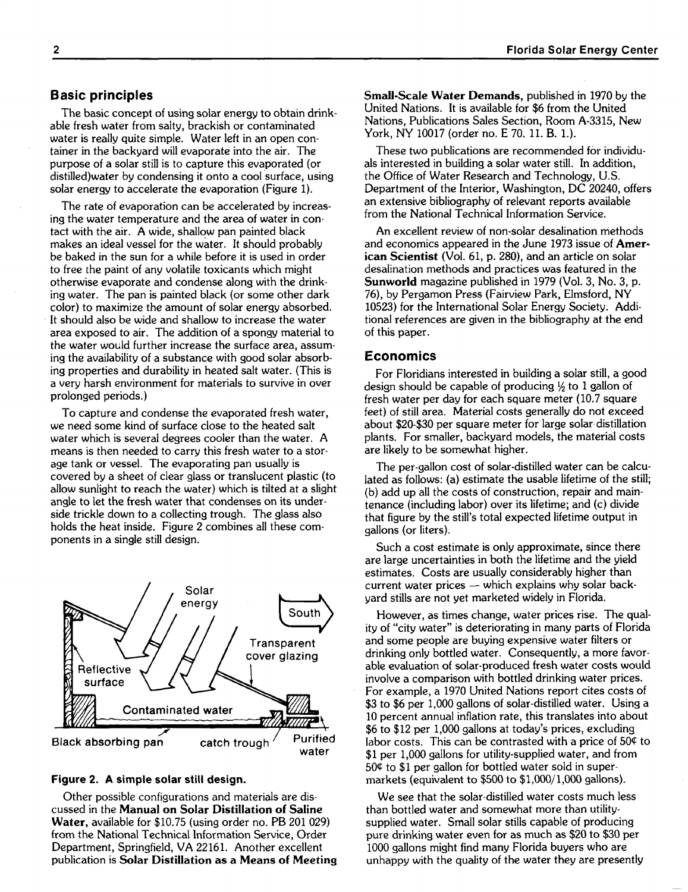# **Basic principles**

The basic concept of using solar energy to obtain drinkable fresh water from salty, brackish or contaminated water is really quite simple. Water left in an open container in the backyard will evaporate into the air. The purpose of a solar still is to capture this evaporated (or distilled)water by condensing it onto a cool surface, using solar energy to accelerate the evaporation (Figure 1).

The rate of evaporation can be accelerated by increasing the water temperature and the area of water in contact with the air. A wide, shallow pan painted black makes an ideal vessel for the water. It should probably be baked in the sun for a while before it is used in order to free the paint of any volatile toxicants which might otherwise evaporate and condense along with the drinking water. The pan is painted black (or some other dark color) to maximize the amount of solar energy absorbed. It should also be wide and shallow to increase the water area exposed to air. The addition of a spongy material to the water would further increase the surface area, assuming the availability of a substance with good solar absorbing properties and durability in heated salt water. (This is a very harsh environment for materials to survive in over prolonged periods.)

To capture and condense the evaporated fresh water, we need some kind of surface close to the heated salt water which is several degrees cooler than the water. A means is then needed to carry this fresh water to a storage tank or vessel. The evaporating pan usually is covered by a sheet of clear glass or translucent plastic (to allow sunlight to reach the water) which is tilted at a slight angle to let the fresh water that condenses on its underside trickle down to a collecting trough. The glass also holds the heat inside. Figure 2 combines all these components in a single still design.



#### **Figure 2. A simple solar still design.**

Other possible configurations and materials are discussed in the **Manual on Solar Distillation of Saline Water,** available for \$10.75 (using order no. PB 201 029) from the National Technical Information Service, Order Department, Springfield, VA 22161. Another excellent publication is **Solar Distillation as a Means of Meeting**  **Small-Scale Water Demands,** published in 1970 by the United Nations. It is available for \$6 from the United Nations, Publications Sales Section, Room A-3315, New York, NY 10017 (order no. E 70. 11. B. 1.).

These two publications are recommended for individuals interested in building a solar water still. In addition, the Office of Water Research and Technology, U.S. Department of the Interior, Washington, DC 20240, offers an extensive bibliography of relevant reports available from the National Technical Information Service.

An excellent review of non-solar desalination methods and economics appeared in the June 1973 issue of **American Scientist** (Vol. 61, p. 280), and an article on solar desalination methods and practices was featured in the **Sunworld** magazine published in 1979 (Vol. 3, No. 3, p. 76), by Pergamon Press (Fairview Park, Elmsford, NY 10523) for the International Solar Energy Society. Additional references are given in the bibliography at the end of this paper.

#### **Economics**

For Floridians interested in building a solar still, a good design should be capable of producing  $\frac{1}{2}$  to 1 gallon of fresh water per day for each square meter (10.7 square feet) of still area. Material costs generally do not exceed about \$20-\$30 per square meter for large solar distillation plants. For smaller, backyard models, the material costs are likely to be somewhat higher.

The per-gallon cost of solar-distilled water can be calculated as follows: (a) estimate the usable lifetime of the still; (b) add up all the costs of construction, repair and maintenance (including labor) over its lifetime; and (c) divide that figure by the still's total expected lifetime output in gallons (or liters).

Such a cost estimate is only approximate, since there are large uncertainties in both the lifetime and the yield estimates. Costs are usually considerably higher than current water prices  $-$  which explains why solar backyard stills are not yet marketed widely in Florida.

However, as times change, water prices rise. The quality of "city water" is deteriorating in many parts of Florida and some people are buying expensive water filters or drinking only bottled water. Consequently, a more favorable evaluation of solar-produced fresh water costs would involve a comparison with bottled drinking water prices. For example, a 1970 United Nations report cites costs of \$3 to \$6 per 1,000 gallons of solar-distilled water. Using a 10 percent annual inflation rate, this translates into about \$6 to \$12 per 1,000 gallons at today's prices, excluding labor costs. This can be contrasted with a price of 504 to \$1 per 1,000 gallons for utility-supplied water, and from 504 to \$1 per gallon for bottled water sold in supermarkets (equivalent to \$500 to \$1,000/1,000 gallons).

We see that the solar-distilled water costs much less than bottled water and somewhat more than utilitysupplied water. Small solar stills capable of producing pure drinking water even for as much as \$20 to \$30 per 1000 gallons might find many Florida buyers who are unhappy with the quality of the water they are presently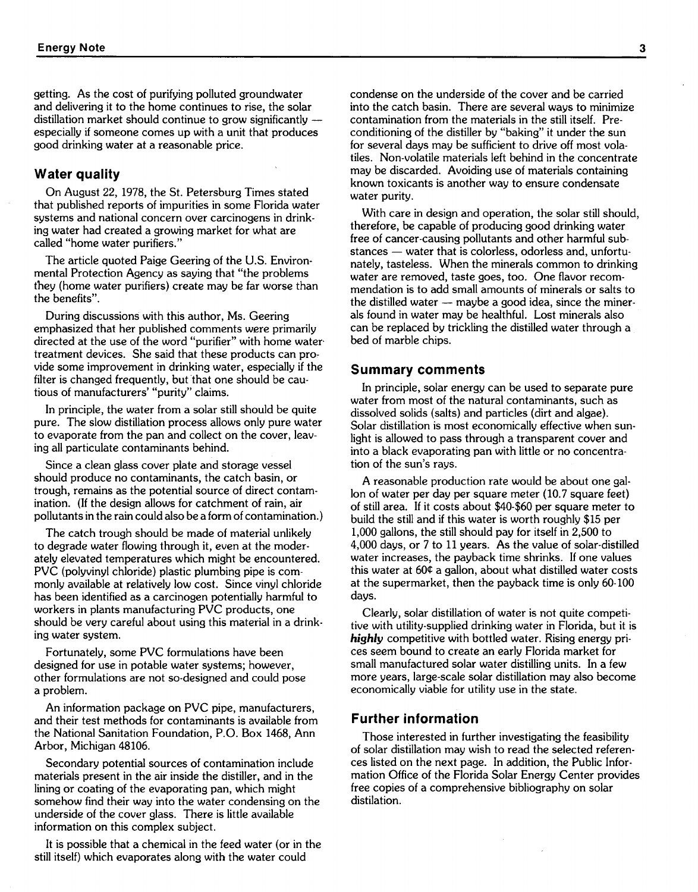getting. As the cost of purifying polluted groundwater and delivering it to the home continues to rise, the solar distillation market should continue to grow significantly - especially if someone comes up with a unit that produces good drinking water at a reasonable price.

#### **Water quality**

On August 22, 1978, the St. Petersburg Times stated that published reports of impurities in some Florida water systems and national concern over carcinogens in drinking water had created a growing market for what are called "home water purifiers."

The article quoted Paige Geering of the U.S. Environmental Protection Agency as saying that "the problems they (home water purifiers) create may be far worse than the benefits".

During discussions with this author, Ms. Geering emphasized that her published comments were primarily directed at the use of the word "purifier" with home water treatment devices. She said that these products can provide some improvement in drinking water, especially if the filter is changed frequently, but that one should be cautious of manufacturers' "purity" claims.

In principle, the water from a solar still should be quite pure. The slow distillation process allows only pure water to evaporate from the pan and collect on the cover, leaving all particulate contaminants behind.

Since a clean glass cover plate and storage vessel should produce no contaminants, the catch basin, or trough, remains as the potential source of direct contamination. (If the design allows for catchment of rain, air pollutants in the rain could also be a form of contamination.)

The catch trough should be made of material unlikely to degrade water flowing through it, even at the moderately elevated temperatures which might be encountered. PVC (polyvinyl chloride) plastic plumbing pipe is commonly available at relatively low cost. Since vinyl chloride has been identified as a carcinogen potentially harmful to workers in plants manufacturing PVC products, one should be very careful about using this material in a drinking water system.

Fortunately, some PVC formulations have been designed for use in potable water systems; however, other formulations are not so-designed and could pose a problem.

An information package on PVC pipe, manufacturers, and their test methods for contaminants is available from the National Sanitation Foundation, P.O. Box 1468, Ann Arbor, Michigan 48106.

Secondary potential sources of contamination include materials present in the air inside the distiller, and in the lining or coating of the evaporating pan, which might somehow find their way into the water condensing on the underside of the cover glass. There is little available information on this complex subject.

It is possible that a chemical in the feed water (or in the still itself) which evaporates along with the water could

condense on the underside of the cover and be carried into the catch basin. There are several ways to minimize contamination from the materials in the still itself. Preconditioning of the distiller by "baking" it under the sun for several days may be sufficient to drive off most volatiles. Non-volatile materials left behind in the concentrate may be discarded. Avoiding use of materials containing known toxicants is another way to ensure condensate water purity.

With care in design and operation, the solar still should, therefore, be capable of producing good drinking water free of cancer-causing pollutants and other harmful substances - water that is colorless, odorless and, unfortunately, tasteless. When the minerals common to drinking water are removed, taste goes, too. One flavor recomwater are removed, taste goes, too. One flavor recom-<br>mendation is to add small amounts of minerals or salts to<br>the distilled water --- maybe a good idea, since the minerals found in water may be healthful. Lost minerals also can be replaced by trickling the distilled water through a bed of marble chips.

#### **Summary comments**

In principle, solar energy can be used to separate pure water from most of the natural contaminants, such as dissolved solids (salts) and particles (dirt and algae). Solar distillation is most economically effective when sunlight is allowed to pass through a transparent cover and into a black evaporating pan with little or no concentration of the sun's rays.

A reasonable production rate would be about one gallon of water per day per square meter (10.7 square feet) of still area. If it costs about \$40-\$60 per square meter to build the still and if this water is worth roughly \$15 per 1,000 gallons, the still should pay for itself in 2,500 to 4,000 days, or 7 to 11 years. As the value of solar-distilled water increases, the payback time shrinks. If one values this water at 604 a gallon, about what distilled water costs at the supermarket, then the payback time is only 60-100 days.

Clearly, solar distillation of water is not quite competitive with utility-supplied drinking water in Florida, but it is highly competitive with bottled water. Rising energy prices seem bound to create an early Florida market for small manufactured solar water distilling units. In a few more years, large-scale solar distillation may also become economically viable for utility use in the state.

#### **Further information**

Those interested in further investigating the feasibility of solar distillation may wish to read the selected references listed on the next page. In addition, the Public Information Office of the Florida Solar Energy Center provides free copies of a comprehensive bibliography on solar distilation.